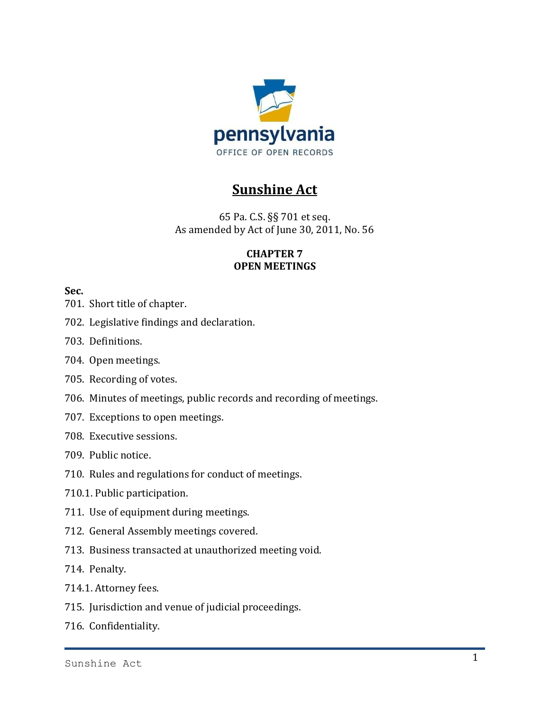

# **Sunshine Act**

65 Pa. C.S. §§ 701 et seq. As amended by Act of June 30, 2011, No. 56

# **CHAPTER 7 OPEN MEETINGS**

# **Sec.**

- 701. Short title of chapter.
- 702. Legislative findings and declaration.
- 703. Definitions.
- 704. Open meetings.
- 705. Recording of votes.
- 706. Minutes of meetings, public records and recording of meetings.
- 707. Exceptions to open meetings.
- 708. Executive sessions.
- 709. Public notice.
- 710. Rules and regulations for conduct of meetings.
- 710.1. Public participation.
- 711. Use of equipment during meetings.
- 712. General Assembly meetings covered.
- 713. Business transacted at unauthorized meeting void.
- 714. Penalty.
- 714.1. Attorney fees.
- 715. Jurisdiction and venue of judicial proceedings.
- 716. Confidentiality.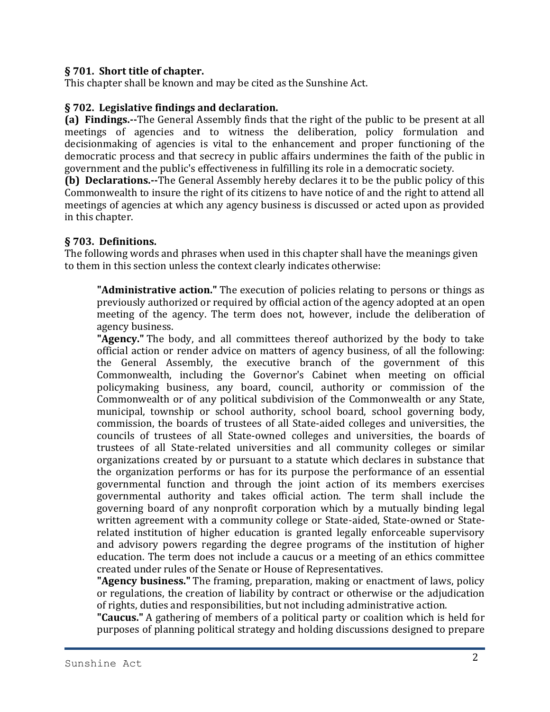#### **§ 701. Short title of chapter.**

This chapter shall be known and may be cited as the Sunshine Act.

#### **§ 702. Legislative findings and declaration.**

**(a) Findings.--**The General Assembly finds that the right of the public to be present at all meetings of agencies and to witness the deliberation, policy formulation and decisionmaking of agencies is vital to the enhancement and proper functioning of the democratic process and that secrecy in public affairs undermines the faith of the public in government and the public's effectiveness in fulfilling its role in a democratic society.

**(b) Declarations.--**The General Assembly hereby declares it to be the public policy of this Commonwealth to insure the right of its citizens to have notice of and the right to attend all meetings of agencies at which any agency business is discussed or acted upon as provided in this chapter.

#### **§ 703. Definitions.**

The following words and phrases when used in this chapter shall have the meanings given to them in this section unless the context clearly indicates otherwise:

**"Administrative action."** The execution of policies relating to persons or things as previously authorized or required by official action of the agency adopted at an open meeting of the agency. The term does not, however, include the deliberation of agency business.

**"Agency."** The body, and all committees thereof authorized by the body to take official action or render advice on matters of agency business, of all the following: the General Assembly, the executive branch of the government of this Commonwealth, including the Governor's Cabinet when meeting on official policymaking business, any board, council, authority or commission of the Commonwealth or of any political subdivision of the Commonwealth or any State, municipal, township or school authority, school board, school governing body, commission, the boards of trustees of all State-aided colleges and universities, the councils of trustees of all State-owned colleges and universities, the boards of trustees of all State-related universities and all community colleges or similar organizations created by or pursuant to a statute which declares in substance that the organization performs or has for its purpose the performance of an essential governmental function and through the joint action of its members exercises governmental authority and takes official action. The term shall include the governing board of any nonprofit corporation which by a mutually binding legal written agreement with a community college or State-aided, State-owned or Staterelated institution of higher education is granted legally enforceable supervisory and advisory powers regarding the degree programs of the institution of higher education. The term does not include a caucus or a meeting of an ethics committee created under rules of the Senate or House of Representatives.

**"Agency business."** The framing, preparation, making or enactment of laws, policy or regulations, the creation of liability by contract or otherwise or the adjudication of rights, duties and responsibilities, but not including administrative action.

**"Caucus."** A gathering of members of a political party or coalition which is held for purposes of planning political strategy and holding discussions designed to prepare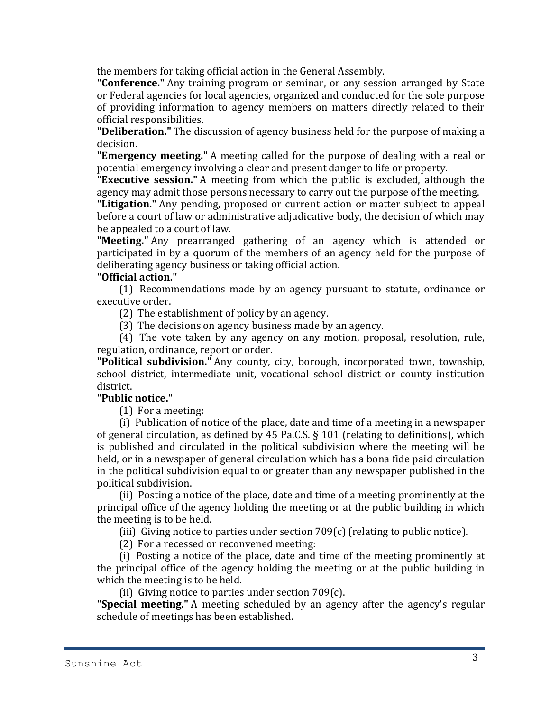the members for taking official action in the General Assembly.

**"Conference."** Any training program or seminar, or any session arranged by State or Federal agencies for local agencies, organized and conducted for the sole purpose of providing information to agency members on matters directly related to their official responsibilities.

**"Deliberation."** The discussion of agency business held for the purpose of making a decision.

**"Emergency meeting."** A meeting called for the purpose of dealing with a real or potential emergency involving a clear and present danger to life or property.

**"Executive session."** A meeting from which the public is excluded, although the agency may admit those persons necessary to carry out the purpose of the meeting.

**"Litigation."** Any pending, proposed or current action or matter subject to appeal before a court of law or administrative adjudicative body, the decision of which may be appealed to a court of law.

**"Meeting."** Any prearranged gathering of an agency which is attended or participated in by a quorum of the members of an agency held for the purpose of deliberating agency business or taking official action.

#### **"Official action."**

(1) Recommendations made by an agency pursuant to statute, ordinance or executive order.

(2) The establishment of policy by an agency.

(3) The decisions on agency business made by an agency.

(4) The vote taken by any agency on any motion, proposal, resolution, rule, regulation, ordinance, report or order.

**"Political subdivision."** Any county, city, borough, incorporated town, township, school district, intermediate unit, vocational school district or county institution district.

#### **"Public notice."**

(1) For a meeting:

(i) Publication of notice of the place, date and time of a meeting in a newspaper of general circulation, as defined by 45 Pa.C.S. § 101 (relating to definitions), which is published and circulated in the political subdivision where the meeting will be held, or in a newspaper of general circulation which has a bona fide paid circulation in the political subdivision equal to or greater than any newspaper published in the political subdivision.

(ii) Posting a notice of the place, date and time of a meeting prominently at the principal office of the agency holding the meeting or at the public building in which the meeting is to be held.

(iii) Giving notice to parties under section 709(c) (relating to public notice).

(2) For a recessed or reconvened meeting:

(i) Posting a notice of the place, date and time of the meeting prominently at the principal office of the agency holding the meeting or at the public building in which the meeting is to be held.

(ii) Giving notice to parties under section 709(c).

**"Special meeting."** A meeting scheduled by an agency after the agency's regular schedule of meetings has been established.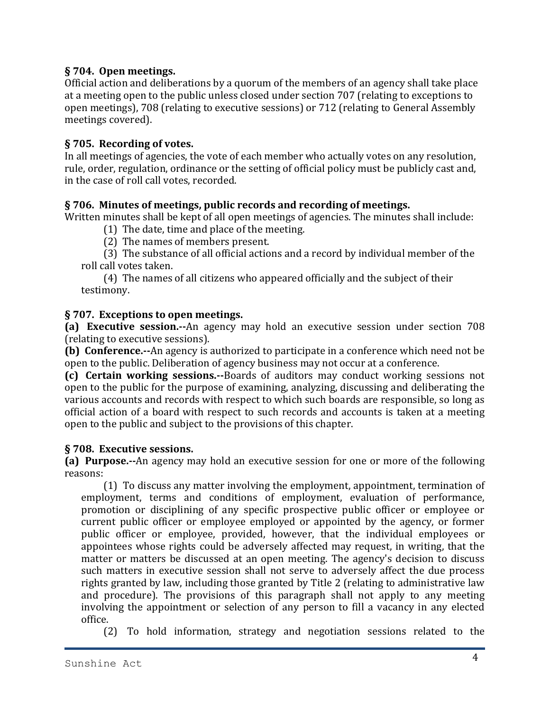# **§ 704. Open meetings.**

Official action and deliberations by a quorum of the members of an agency shall take place at a meeting open to the public unless closed under section 707 (relating to exceptions to open meetings), 708 (relating to executive sessions) or 712 (relating to General Assembly meetings covered).

# **§ 705. Recording of votes.**

In all meetings of agencies, the vote of each member who actually votes on any resolution, rule, order, regulation, ordinance or the setting of official policy must be publicly cast and, in the case of roll call votes, recorded.

# **§ 706. Minutes of meetings, public records and recording of meetings.**

Written minutes shall be kept of all open meetings of agencies. The minutes shall include:

(1) The date, time and place of the meeting.

(2) The names of members present.

(3) The substance of all official actions and a record by individual member of the roll call votes taken.

(4) The names of all citizens who appeared officially and the subject of their testimony.

# **§ 707. Exceptions to open meetings.**

**(a) Executive session.--**An agency may hold an executive session under section 708 (relating to executive sessions).

**(b) Conference.--**An agency is authorized to participate in a conference which need not be open to the public. Deliberation of agency business may not occur at a conference.

**(c) Certain working sessions.--**Boards of auditors may conduct working sessions not open to the public for the purpose of examining, analyzing, discussing and deliberating the various accounts and records with respect to which such boards are responsible, so long as official action of a board with respect to such records and accounts is taken at a meeting open to the public and subject to the provisions of this chapter.

#### **§ 708. Executive sessions.**

**(a) Purpose.--**An agency may hold an executive session for one or more of the following reasons:

(1) To discuss any matter involving the employment, appointment, termination of employment, terms and conditions of employment, evaluation of performance, promotion or disciplining of any specific prospective public officer or employee or current public officer or employee employed or appointed by the agency, or former public officer or employee, provided, however, that the individual employees or appointees whose rights could be adversely affected may request, in writing, that the matter or matters be discussed at an open meeting. The agency's decision to discuss such matters in executive session shall not serve to adversely affect the due process rights granted by law, including those granted by Title 2 (relating to administrative law and procedure). The provisions of this paragraph shall not apply to any meeting involving the appointment or selection of any person to fill a vacancy in any elected office.

(2) To hold information, strategy and negotiation sessions related to the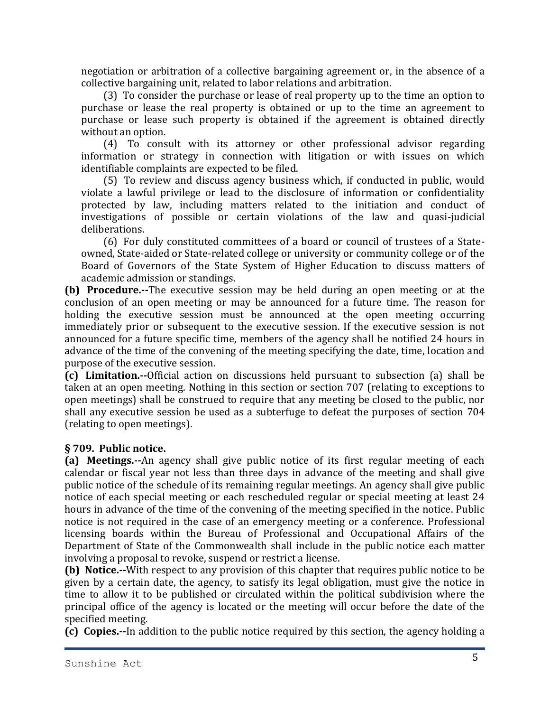negotiation or arbitration of a collective bargaining agreement or, in the absence of a collective bargaining unit, related to labor relations and arbitration.

(3) To consider the purchase or lease of real property up to the time an option to purchase or lease the real property is obtained or up to the time an agreement to purchase or lease such property is obtained if the agreement is obtained directly without an option.

(4) To consult with its attorney or other professional advisor regarding information or strategy in connection with litigation or with issues on which identifiable complaints are expected to be filed.

(5) To review and discuss agency business which, if conducted in public, would violate a lawful privilege or lead to the disclosure of information or confidentiality protected by law, including matters related to the initiation and conduct of investigations of possible or certain violations of the law and quasi-judicial deliberations.

(6) For duly constituted committees of a board or council of trustees of a Stateowned, State-aided or State-related college or university or community college or of the Board of Governors of the State System of Higher Education to discuss matters of academic admission or standings.

**(b) Procedure.--**The executive session may be held during an open meeting or at the conclusion of an open meeting or may be announced for a future time. The reason for holding the executive session must be announced at the open meeting occurring immediately prior or subsequent to the executive session. If the executive session is not announced for a future specific time, members of the agency shall be notified 24 hours in advance of the time of the convening of the meeting specifying the date, time, location and purpose of the executive session.

**(c) Limitation.--**Official action on discussions held pursuant to subsection (a) shall be taken at an open meeting. Nothing in this section or section 707 (relating to exceptions to open meetings) shall be construed to require that any meeting be closed to the public, nor shall any executive session be used as a subterfuge to defeat the purposes of section 704 (relating to open meetings).

#### **§ 709. Public notice.**

**(a) Meetings.--**An agency shall give public notice of its first regular meeting of each calendar or fiscal year not less than three days in advance of the meeting and shall give public notice of the schedule of its remaining regular meetings. An agency shall give public notice of each special meeting or each rescheduled regular or special meeting at least 24 hours in advance of the time of the convening of the meeting specified in the notice. Public notice is not required in the case of an emergency meeting or a conference. Professional licensing boards within the Bureau of Professional and Occupational Affairs of the Department of State of the Commonwealth shall include in the public notice each matter involving a proposal to revoke, suspend or restrict a license.

**(b) Notice.--**With respect to any provision of this chapter that requires public notice to be given by a certain date, the agency, to satisfy its legal obligation, must give the notice in time to allow it to be published or circulated within the political subdivision where the principal office of the agency is located or the meeting will occur before the date of the specified meeting.

**(c) Copies.--**In addition to the public notice required by this section, the agency holding a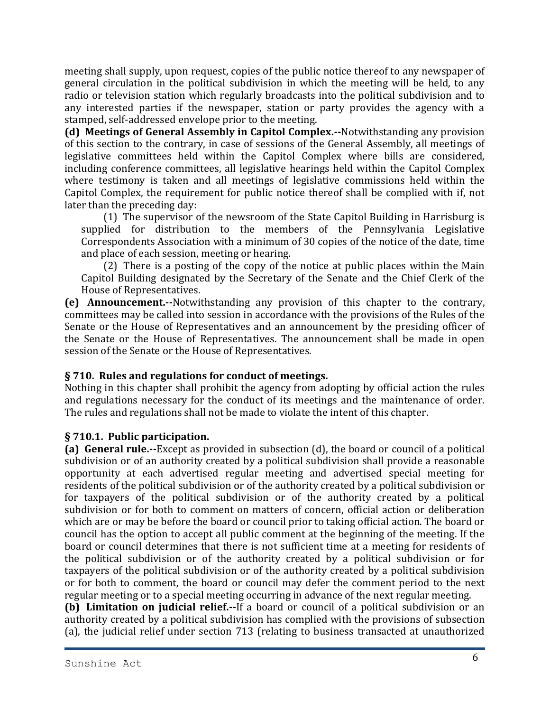meeting shall supply, upon request, copies of the public notice thereof to any newspaper of general circulation in the political subdivision in which the meeting will be held, to any radio or television station which regularly broadcasts into the political subdivision and to any interested parties if the newspaper, station or party provides the agency with a stamped, self-addressed envelope prior to the meeting.

**(d) Meetings of General Assembly in Capitol Complex.--**Notwithstanding any provision of this section to the contrary, in case of sessions of the General Assembly, all meetings of legislative committees held within the Capitol Complex where bills are considered, including conference committees, all legislative hearings held within the Capitol Complex where testimony is taken and all meetings of legislative commissions held within the Capitol Complex, the requirement for public notice thereof shall be complied with if, not later than the preceding day:

(1) The supervisor of the newsroom of the State Capitol Building in Harrisburg is supplied for distribution to the members of the Pennsylvania Legislative Correspondents Association with a minimum of 30 copies of the notice of the date, time and place of each session, meeting or hearing.

(2) There is a posting of the copy of the notice at public places within the Main Capitol Building designated by the Secretary of the Senate and the Chief Clerk of the House of Representatives.

**(e) Announcement.--**Notwithstanding any provision of this chapter to the contrary, committees may be called into session in accordance with the provisions of the Rules of the Senate or the House of Representatives and an announcement by the presiding officer of the Senate or the House of Representatives. The announcement shall be made in open session of the Senate or the House of Representatives.

# **§ 710. Rules and regulations for conduct of meetings.**

Nothing in this chapter shall prohibit the agency from adopting by official action the rules and regulations necessary for the conduct of its meetings and the maintenance of order. The rules and regulations shall not be made to violate the intent of this chapter.

# **§ 710.1. Public participation.**

**(a) General rule.--**Except as provided in subsection (d), the board or council of a political subdivision or of an authority created by a political subdivision shall provide a reasonable opportunity at each advertised regular meeting and advertised special meeting for residents of the political subdivision or of the authority created by a political subdivision or for taxpayers of the political subdivision or of the authority created by a political subdivision or for both to comment on matters of concern, official action or deliberation which are or may be before the board or council prior to taking official action. The board or council has the option to accept all public comment at the beginning of the meeting. If the board or council determines that there is not sufficient time at a meeting for residents of the political subdivision or of the authority created by a political subdivision or for taxpayers of the political subdivision or of the authority created by a political subdivision or for both to comment, the board or council may defer the comment period to the next regular meeting or to a special meeting occurring in advance of the next regular meeting.

**(b) Limitation on judicial relief.--**If a board or council of a political subdivision or an authority created by a political subdivision has complied with the provisions of subsection (a), the judicial relief under section 713 (relating to business transacted at unauthorized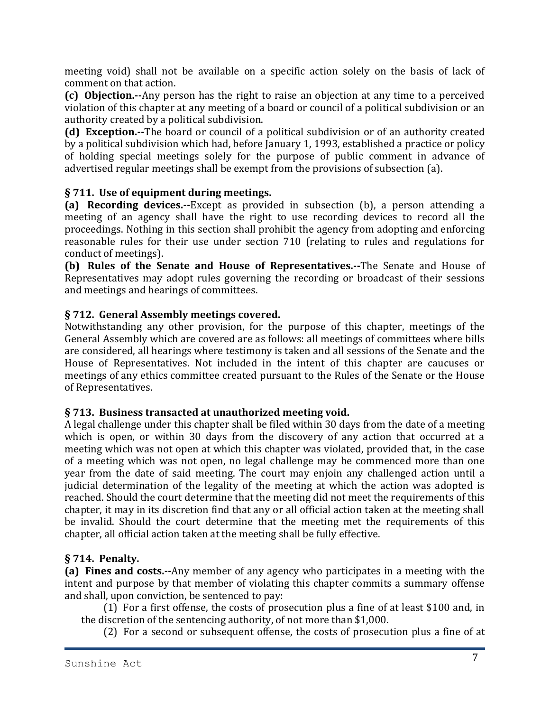meeting void) shall not be available on a specific action solely on the basis of lack of comment on that action.

**(c) Objection.--**Any person has the right to raise an objection at any time to a perceived violation of this chapter at any meeting of a board or council of a political subdivision or an authority created by a political subdivision.

**(d) Exception.--**The board or council of a political subdivision or of an authority created by a political subdivision which had, before January 1, 1993, established a practice or policy of holding special meetings solely for the purpose of public comment in advance of advertised regular meetings shall be exempt from the provisions of subsection (a).

# **§ 711. Use of equipment during meetings.**

**(a) Recording devices.--**Except as provided in subsection (b), a person attending a meeting of an agency shall have the right to use recording devices to record all the proceedings. Nothing in this section shall prohibit the agency from adopting and enforcing reasonable rules for their use under section 710 (relating to rules and regulations for conduct of meetings).

**(b) Rules of the Senate and House of Representatives.--**The Senate and House of Representatives may adopt rules governing the recording or broadcast of their sessions and meetings and hearings of committees.

# **§ 712. General Assembly meetings covered.**

Notwithstanding any other provision, for the purpose of this chapter, meetings of the General Assembly which are covered are as follows: all meetings of committees where bills are considered, all hearings where testimony is taken and all sessions of the Senate and the House of Representatives. Not included in the intent of this chapter are caucuses or meetings of any ethics committee created pursuant to the Rules of the Senate or the House of Representatives.

#### **§ 713. Business transacted at unauthorized meeting void.**

A legal challenge under this chapter shall be filed within 30 days from the date of a meeting which is open, or within 30 days from the discovery of any action that occurred at a meeting which was not open at which this chapter was violated, provided that, in the case of a meeting which was not open, no legal challenge may be commenced more than one year from the date of said meeting. The court may enjoin any challenged action until a judicial determination of the legality of the meeting at which the action was adopted is reached. Should the court determine that the meeting did not meet the requirements of this chapter, it may in its discretion find that any or all official action taken at the meeting shall be invalid. Should the court determine that the meeting met the requirements of this chapter, all official action taken at the meeting shall be fully effective.

# **§ 714. Penalty.**

**(a) Fines and costs.--**Any member of any agency who participates in a meeting with the intent and purpose by that member of violating this chapter commits a summary offense and shall, upon conviction, be sentenced to pay:

(1) For a first offense, the costs of prosecution plus a fine of at least \$100 and, in the discretion of the sentencing authority, of not more than \$1,000.

(2) For a second or subsequent offense, the costs of prosecution plus a fine of at